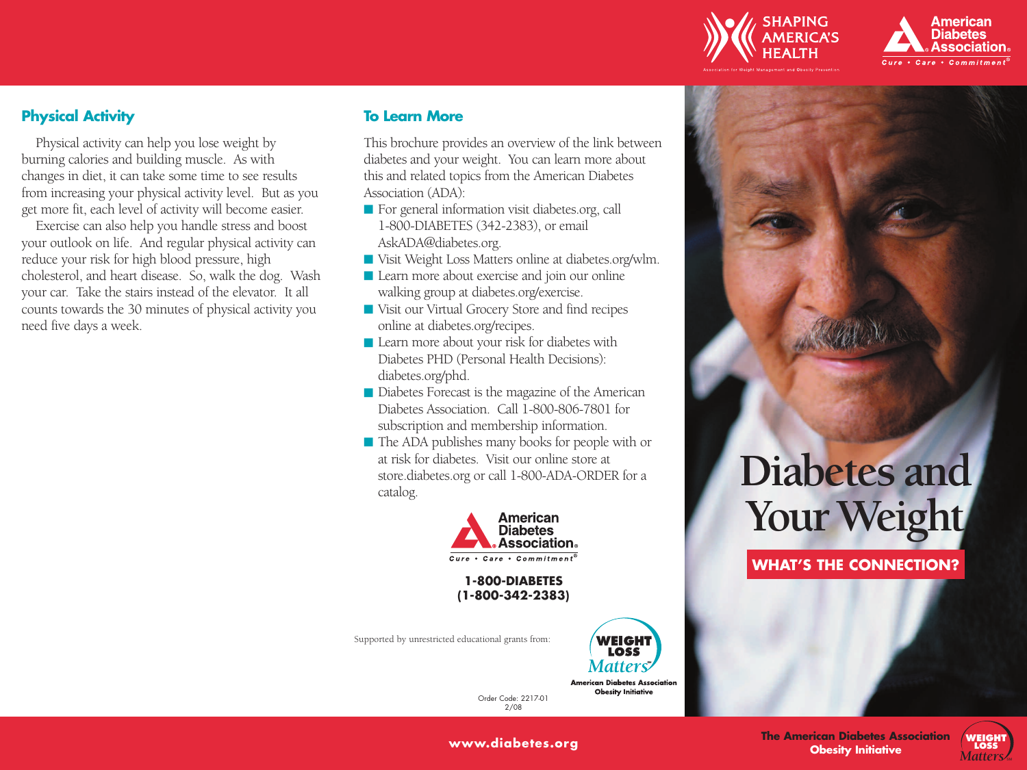



## **Physical Activity**

Physical activity can help you lose weight by burning calories and building muscle. As with changes in diet, it can take some time to see results from increasing your physical activity level. But as you get more fit, each level of activity will become easier.

Exercise can also help you handle stress and boost your outlook on life. And regular physical activity can reduce your risk for high blood pressure, high cholesterol, and heart disease. So, walk the dog. Wash your car. Take the stairs instead of the elevator. It all counts towards the 30 minutes of physical activity you need five days a week.

## **To Learn More**

This brochure provides an overview of the link between diabetes and your weight. You can learn more about this and related topics from the American Diabetes Association (ADA):

- For general information visit diabetes.org, call 1-800-DIABETES (342-2383), or email AskADA@diabetes.org.
- Visit Weight Loss Matters online at diabetes.org/wlm.
- Learn more about exercise and join our online walking group at diabetes.org/exercise.
- Visit our Virtual Grocery Store and find recipes online at diabetes.org/recipes.
- Learn more about your risk for diabetes with Diabetes PHD (Personal Health Decisions): diabetes.org/phd.
- Diabetes Forecast is the magazine of the American Diabetes Association. Call 1-800-806-7801 for subscription and membership information.
- The ADA publishes many books for people with or at risk for diabetes. Visit our online store at store.diabetes.org or call 1-800-ADA-ORDER for a catalog.



**1-800-DIABETES (1-800-342-2383)**

Supported by unrestricted educational grants from:



**American Diabetes Association Obesity Initiative** 

Order Code: 2217-01 2/08

# **Diabetes and** Your Weight

**WHAT'S THE CONNECTION?**



SM

**www.diabetes.org**